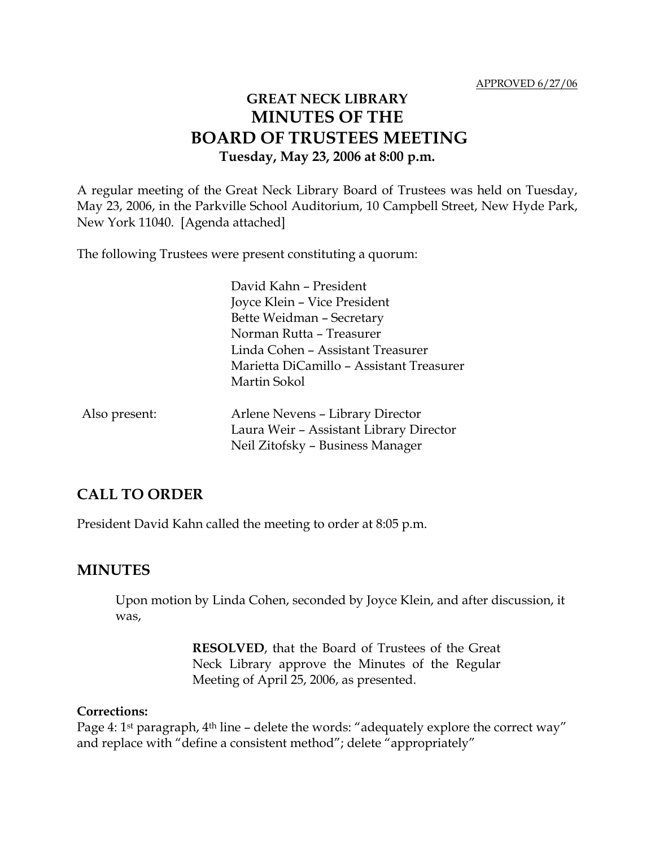# **GREAT NECK LIBRARY MINUTES OF THE BOARD OF TRUSTEES MEETING Tuesday, May 23, 2006 at 8:00 p.m.**

A regular meeting of the Great Neck Library Board of Trustees was held on Tuesday, May 23, 2006, in the Parkville School Auditorium, 10 Campbell Street, New Hyde Park, New York 11040. [Agenda attached]

The following Trustees were present constituting a quorum:

|               | David Kahn - President                   |
|---------------|------------------------------------------|
|               | Joyce Klein – Vice President             |
|               | Bette Weidman - Secretary                |
|               | Norman Rutta - Treasurer                 |
|               | Linda Cohen – Assistant Treasurer        |
|               | Marietta DiCamillo - Assistant Treasurer |
|               | Martin Sokol                             |
| Also present: | Arlene Nevens - Library Director         |
|               | Laura Weir - Assistant Library Director  |
|               | Neil Zitofsky - Business Manager         |

#### **CALL TO ORDER**

President David Kahn called the meeting to order at 8:05 p.m.

#### **MINUTES**

Upon motion by Linda Cohen, seconded by Joyce Klein, and after discussion, it was,

> **RESOLVED**, that the Board of Trustees of the Great Neck Library approve the Minutes of the Regular Meeting of April 25, 2006, as presented.

#### **Corrections:**

Page 4: 1<sup>st</sup> paragraph, 4<sup>th</sup> line - delete the words: "adequately explore the correct way" and replace with "define a consistent method"; delete "appropriately"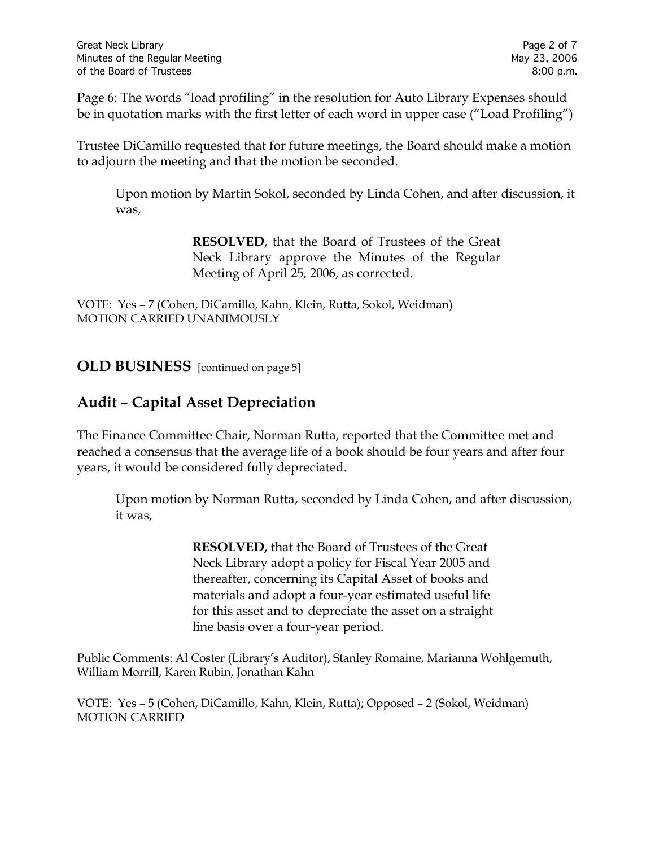Page 6: The words "load profiling" in the resolution for Auto Library Expenses should be in quotation marks with the first letter of each word in upper case ("Load Profiling")

Trustee DiCamillo requested that for future meetings, the Board should make a motion to adjourn the meeting and that the motion be seconded.

Upon motion by Martin Sokol, seconded by Linda Cohen, and after discussion, it was,

> **RESOLVED**, that the Board of Trustees of the Great Neck Library approve the Minutes of the Regular Meeting of April 25, 2006, as corrected.

VOTE:Yes – 7 (Cohen, DiCamillo, Kahn, Klein, Rutta, Sokol, Weidman) MOTION CARRIED UNANIMOUSLY

**OLD BUSINESS** [continued on page 5]

## **Audit – Capital Asset Depreciation**

The Finance Committee Chair, Norman Rutta, reported that the Committee met and reached a consensus that the average life of a book should be four years and after four years, it would be considered fully depreciated.

Upon motion by Norman Rutta, seconded by Linda Cohen, and after discussion, it was,

> **RESOLVED,** that the Board of Trustees of the Great Neck Library adopt a policy for Fiscal Year 2005 and thereafter, concerning its Capital Asset of books and materials and adopt a four-year estimated useful life for this asset and to depreciate the asset on a straight line basis over a four-year period.

Public Comments: Al Coster (Library's Auditor), Stanley Romaine, Marianna Wohlgemuth, William Morrill, Karen Rubin, Jonathan Kahn

VOTE:Yes – 5 (Cohen, DiCamillo, Kahn, Klein, Rutta); Opposed – 2 (Sokol, Weidman) MOTION CARRIED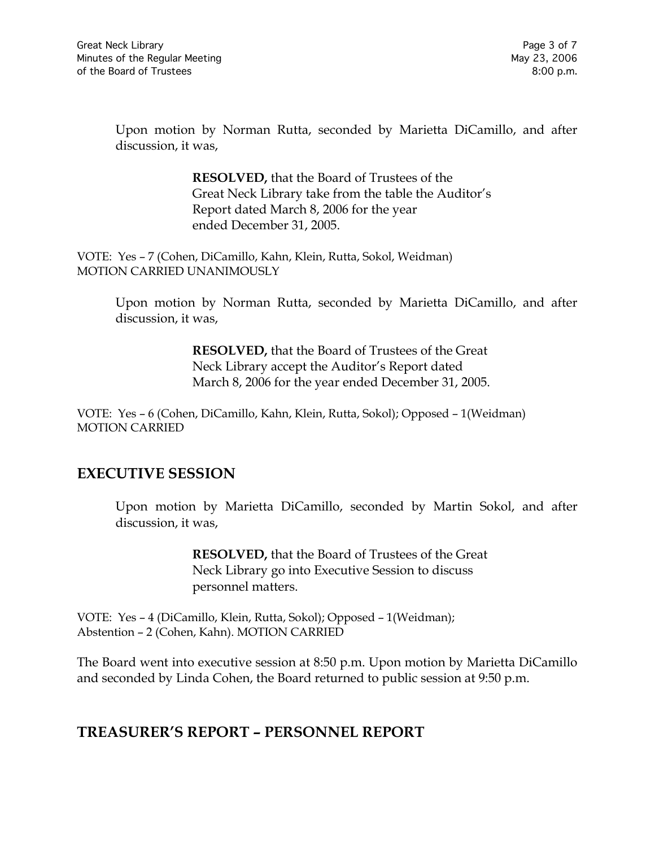Upon motion by Norman Rutta, seconded by Marietta DiCamillo, and after discussion, it was,

> **RESOLVED,** that the Board of Trustees of the Great Neck Library take from the table the Auditor's Report dated March 8, 2006 for the year ended December 31, 2005.

VOTE:Yes – 7 (Cohen, DiCamillo, Kahn, Klein, Rutta, Sokol, Weidman) MOTION CARRIED UNANIMOUSLY

Upon motion by Norman Rutta, seconded by Marietta DiCamillo, and after discussion, it was,

> **RESOLVED,** that the Board of Trustees of the Great Neck Library accept the Auditor's Report dated March 8, 2006 for the year ended December 31, 2005.

VOTE:Yes – 6 (Cohen, DiCamillo, Kahn, Klein, Rutta, Sokol); Opposed – 1(Weidman) MOTION CARRIED

#### **EXECUTIVE SESSION**

Upon motion by Marietta DiCamillo, seconded by Martin Sokol, and after discussion, it was,

> **RESOLVED,** that the Board of Trustees of the Great Neck Library go into Executive Session to discuss personnel matters.

VOTE:Yes – 4 (DiCamillo, Klein, Rutta, Sokol); Opposed – 1(Weidman); Abstention – 2 (Cohen, Kahn). MOTION CARRIED

The Board went into executive session at 8:50 p.m. Upon motion by Marietta DiCamillo and seconded by Linda Cohen, the Board returned to public session at 9:50 p.m.

#### **TREASURER'S REPORT – PERSONNEL REPORT**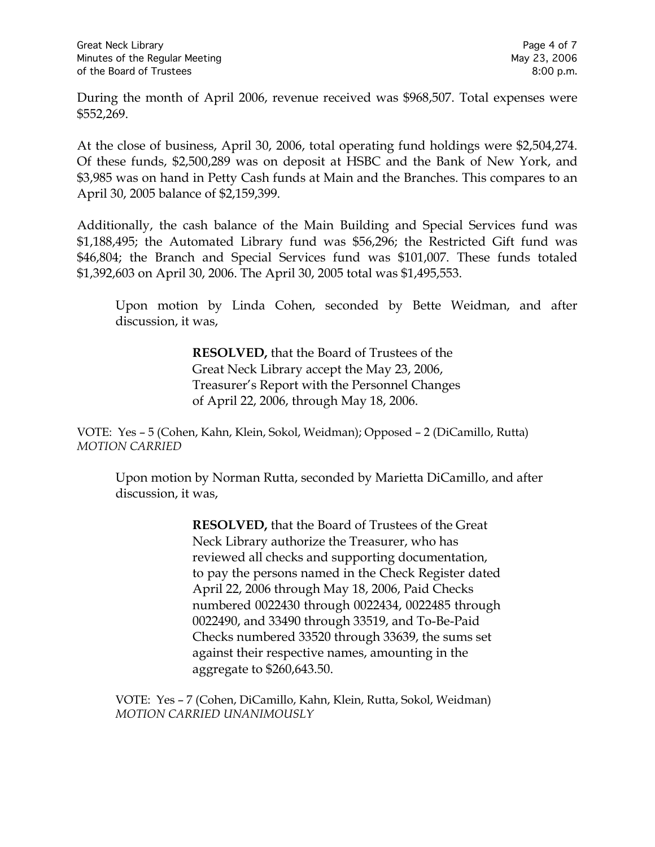During the month of April 2006, revenue received was \$968,507. Total expenses were \$552,269.

At the close of business, April 30, 2006, total operating fund holdings were \$2,504,274. Of these funds, \$2,500,289 was on deposit at HSBC and the Bank of New York, and \$3,985 was on hand in Petty Cash funds at Main and the Branches. This compares to an April 30, 2005 balance of \$2,159,399.

Additionally, the cash balance of the Main Building and Special Services fund was \$1,188,495; the Automated Library fund was \$56,296; the Restricted Gift fund was \$46,804; the Branch and Special Services fund was \$101,007. These funds totaled \$1,392,603 on April 30, 2006. The April 30, 2005 total was \$1,495,553.

Upon motion by Linda Cohen, seconded by Bette Weidman, and after discussion, it was,

> **RESOLVED,** that the Board of Trustees of the Great Neck Library accept the May 23, 2006, Treasurer's Report with the Personnel Changes of April 22, 2006, through May 18, 2006.

VOTE:Yes – 5 (Cohen, Kahn, Klein, Sokol, Weidman); Opposed – 2 (DiCamillo, Rutta) *MOTION CARRIED* 

Upon motion by Norman Rutta, seconded by Marietta DiCamillo, and after discussion, it was,

> **RESOLVED,** that the Board of Trustees of the Great Neck Library authorize the Treasurer, who has reviewed all checks and supporting documentation, to pay the persons named in the Check Register dated April 22, 2006 through May 18, 2006, Paid Checks numbered 0022430 through 0022434, 0022485 through 0022490, and 33490 through 33519, and To-Be-Paid Checks numbered 33520 through 33639, the sums set against their respective names, amounting in the aggregate to \$260,643.50.

VOTE:Yes – 7 (Cohen, DiCamillo, Kahn, Klein, Rutta, Sokol, Weidman) *MOTION CARRIED UNANIMOUSLY*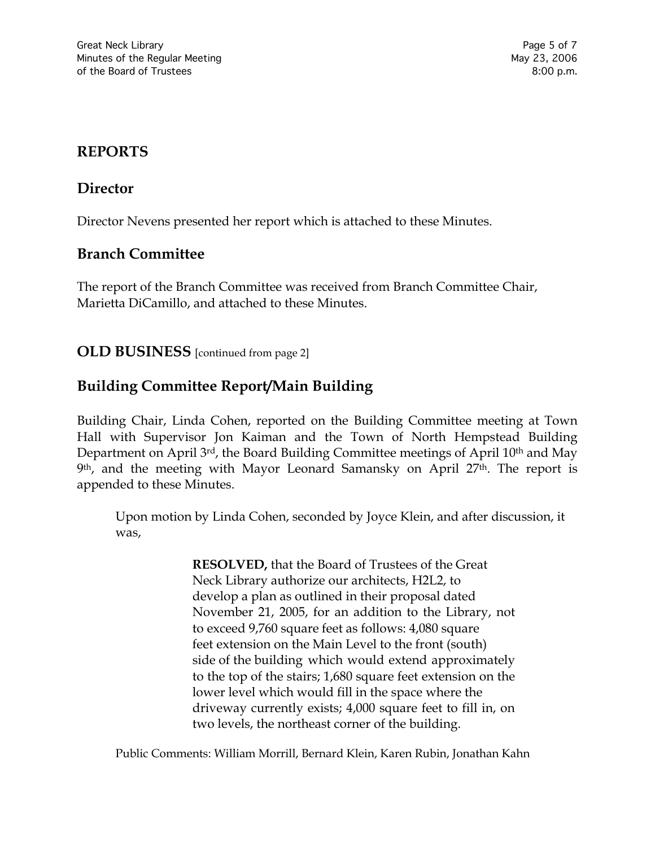### **REPORTS**

### **Director**

Director Nevens presented her report which is attached to these Minutes.

#### **Branch Committee**

The report of the Branch Committee was received from Branch Committee Chair, Marietta DiCamillo, and attached to these Minutes.

**OLD BUSINESS** [continued from page 2]

# **Building Committee Report/Main Building**

Building Chair, Linda Cohen, reported on the Building Committee meeting at Town Hall with Supervisor Jon Kaiman and the Town of North Hempstead Building Department on April 3rd, the Board Building Committee meetings of April 10<sup>th</sup> and May 9th, and the meeting with Mayor Leonard Samansky on April 27th. The report is appended to these Minutes.

Upon motion by Linda Cohen, seconded by Joyce Klein, and after discussion, it was,

> **RESOLVED,** that the Board of Trustees of the Great Neck Library authorize our architects, H2L2, to develop a plan as outlined in their proposal dated November 21, 2005, for an addition to the Library, not to exceed 9,760 square feet as follows: 4,080 square feet extension on the Main Level to the front (south) side of the building which would extend approximately to the top of the stairs; 1,680 square feet extension on the lower level which would fill in the space where the driveway currently exists; 4,000 square feet to fill in, on two levels, the northeast corner of the building.

Public Comments: William Morrill, Bernard Klein, Karen Rubin, Jonathan Kahn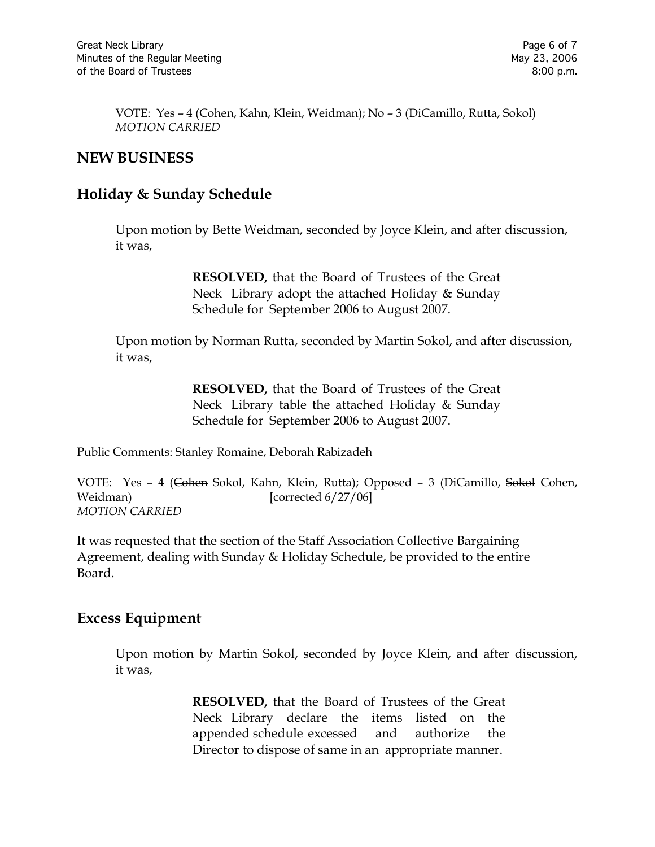VOTE:Yes – 4 (Cohen, Kahn, Klein, Weidman); No – 3 (DiCamillo, Rutta, Sokol) *MOTION CARRIED*

### **NEW BUSINESS**

### **Holiday & Sunday Schedule**

Upon motion by Bette Weidman, seconded by Joyce Klein, and after discussion, it was,

> **RESOLVED,** that the Board of Trustees of the Great Neck Library adopt the attached Holiday & Sunday Schedule for September 2006 to August 2007.

Upon motion by Norman Rutta, seconded by Martin Sokol, and after discussion, it was,

> **RESOLVED,** that the Board of Trustees of the Great Neck Library table the attached Holiday & Sunday Schedule for September 2006 to August 2007.

Public Comments: Stanley Romaine, Deborah Rabizadeh

VOTE: Yes - 4 (Cohen Sokol, Kahn, Klein, Rutta); Opposed - 3 (DiCamillo, Sokol Cohen, Weidman) [corrected 6/27/06] *MOTION CARRIED* 

It was requested that the section of the Staff Association Collective Bargaining Agreement, dealing with Sunday & Holiday Schedule, be provided to the entire Board.

#### **Excess Equipment**

Upon motion by Martin Sokol, seconded by Joyce Klein, and after discussion, it was,

> **RESOLVED,** that the Board of Trustees of the Great Neck Library declare the items listed on the appended schedule excessed and authorize the Director to dispose of same in an appropriate manner.